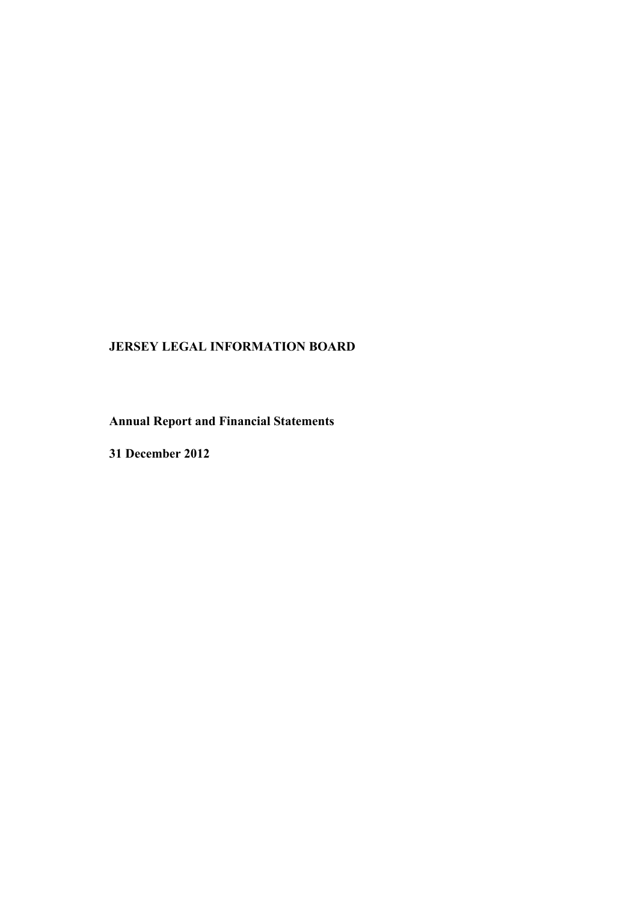# **JERSEY LEGAL INFORMATION BOARD**

**Annual Report and Financial Statements**

**31 December 2012**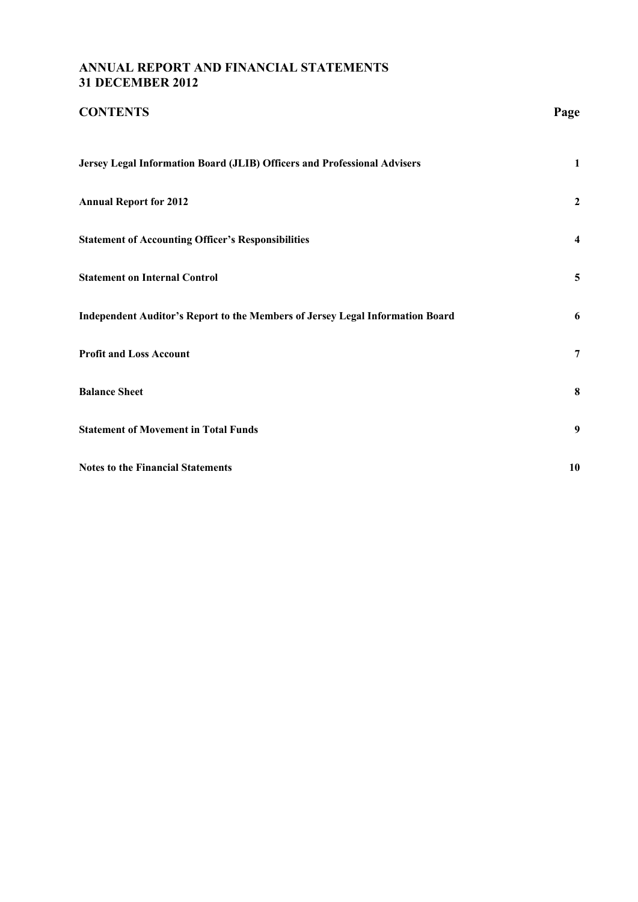## **ANNUAL REPORT AND FINANCIAL STATEMENTS 31 DECEMBER 2012**

| <b>CONTENTS</b>                                                               | Page           |
|-------------------------------------------------------------------------------|----------------|
| Jersey Legal Information Board (JLIB) Officers and Professional Advisers      | $\mathbf{1}$   |
| <b>Annual Report for 2012</b>                                                 | $\overline{2}$ |
| <b>Statement of Accounting Officer's Responsibilities</b>                     | 4              |
| <b>Statement on Internal Control</b>                                          | 5              |
| Independent Auditor's Report to the Members of Jersey Legal Information Board | 6              |
| <b>Profit and Loss Account</b>                                                | $\overline{7}$ |
| <b>Balance Sheet</b>                                                          | 8              |
| <b>Statement of Movement in Total Funds</b>                                   | 9              |
| <b>Notes to the Financial Statements</b>                                      | 10             |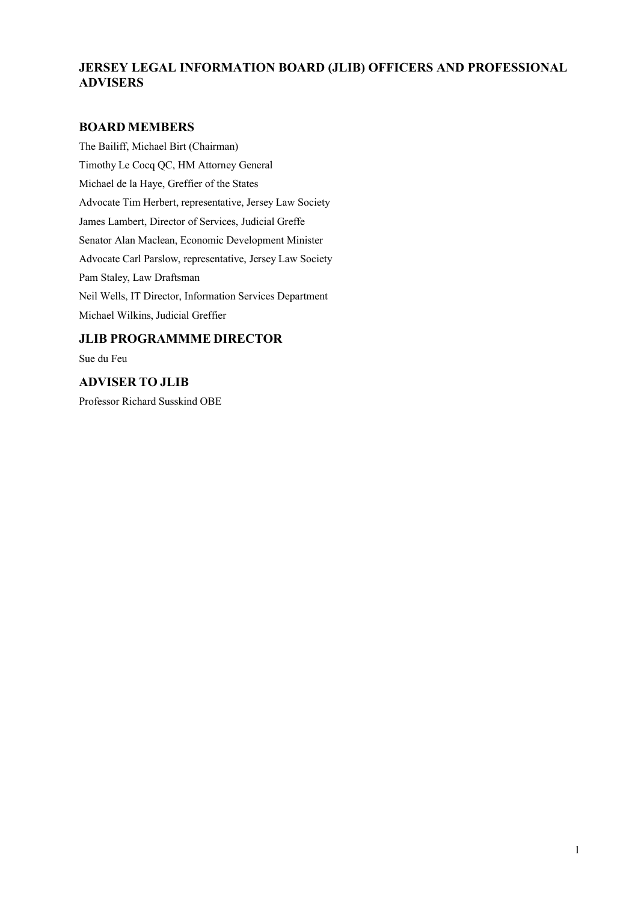## **JERSEY LEGAL INFORMATION BOARD (JLIB) OFFICERS AND PROFESSIONAL ADVISERS**

## **BOARD MEMBERS**

The Bailiff, Michael Birt (Chairman) Timothy Le Cocq QC, HM Attorney General Michael de la Haye, Greffier of the States Advocate Tim Herbert, representative, Jersey Law Society James Lambert, Director of Services, Judicial Greffe Senator Alan Maclean, Economic Development Minister Advocate Carl Parslow, representative, Jersey Law Society Pam Staley, Law Draftsman Neil Wells, IT Director, Information Services Department Michael Wilkins, Judicial Greffier

## **JLIB PROGRAMMME DIRECTOR**

Sue du Feu

## **ADVISER TO JLIB**

Professor Richard Susskind OBE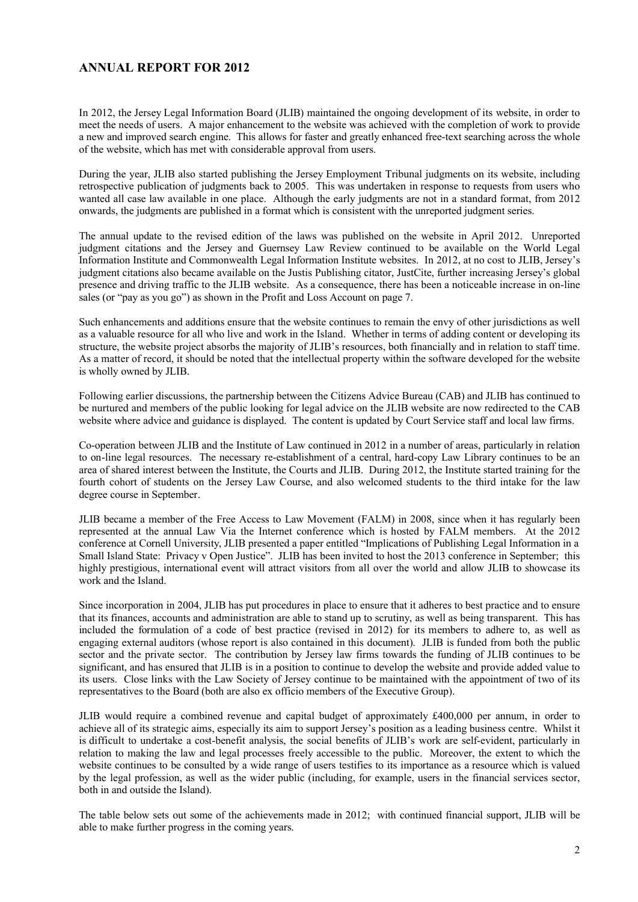## **ANNUAL REPORT FOR 2012**

In 2012, the Jersey Legal Information Board (JLIB) maintained the ongoing development of its website, in order to meet the needs of users. A major enhancement to the website was achieved with the completion of work to provide a new and improved search engine. This allows for faster and greatly enhanced free-text searching across the whole of the website, which has met with considerable approval from users.

During the year, JLIB also started publishing the Jersey Employment Tribunal judgments on its website, including retrospective publication of judgments back to 2005. This was undertaken in response to requests from users who wanted all case law available in one place. Although the early judgments are not in a standard format, from 2012 onwards, the judgments are published in a format which is consistent with the unreported judgment series.

The annual update to the revised edition of the laws was published on the website in April 2012. Unreported judgment citations and the Jersey and Guernsey Law Review continued to be available on the World Legal Information Institute and Commonwealth Legal Information Institute websites. In 2012, at no cost to JLIB, Jersey's judgment citations also became available on the Justis Publishing citator, JustCite, further increasing Jersey's global presence and driving traffic to the JLIB website. As a consequence, there has been a noticeable increase in on-line sales (or "pay as you go") as shown in the Profit and Loss Account on page 7.

Such enhancements and additions ensure that the website continues to remain the envy of other jurisdictions as well as a valuable resource for all who live and work in the Island. Whether in terms of adding content or developing its structure, the website project absorbs the majority of JLIB's resources, both financially and in relation to staff time. As a matter of record, it should be noted that the intellectual property within the software developed for the website is wholly owned by JLIB.

Following earlier discussions, the partnership between the Citizens Advice Bureau (CAB) and JLIB has continued to be nurtured and members of the public looking for legal advice on the JLIB website are now redirected to the CAB website where advice and guidance is displayed. The content is updated by Court Service staff and local law firms.

Co-operation between JLIB and the Institute of Law continued in 2012 in a number of areas, particularly in relation to on-line legal resources. The necessary re-establishment of a central, hard-copy Law Library continues to be an area of shared interest between the Institute, the Courts and JLIB. During 2012, the Institute started training for the fourth cohort of students on the Jersey Law Course, and also welcomed students to the third intake for the law degree course in September.

JLIB became a member of the Free Access to Law Movement (FALM) in 2008, since when it has regularly been represented at the annual Law Via the Internet conference which is hosted by FALM members. At the 2012 conference at Cornell University, JLIB presented a paper entitled "Implications of Publishing Legal Information in a Small Island State: Privacy v Open Justice". JLIB has been invited to host the 2013 conference in September; this highly prestigious, international event will attract visitors from all over the world and allow JLIB to showcase its work and the Island.

Since incorporation in 2004, JLIB has put procedures in place to ensure that it adheres to best practice and to ensure that its finances, accounts and administration are able to stand up to scrutiny, as well as being transparent. This has included the formulation of a code of best practice (revised in 2012) for its members to adhere to, as well as engaging external auditors (whose report is also contained in this document). JLIB is funded from both the public sector and the private sector. The contribution by Jersey law firms towards the funding of JLIB continues to be significant, and has ensured that JLIB is in a position to continue to develop the website and provide added value to its users. Close links with the Law Society of Jersey continue to be maintained with the appointment of two of its representatives to the Board (both are also ex officio members of the Executive Group).

JLIB would require a combined revenue and capital budget of approximately £400,000 per annum, in order to achieve all of its strategic aims, especially its aim to support Jersey's position as a leading business centre. Whilst it is difficult to undertake a cost-benefit analysis, the social benefits of JLIB's work are self-evident, particularly in relation to making the law and legal processes freely accessible to the public. Moreover, the extent to which the website continues to be consulted by a wide range of users testifies to its importance as a resource which is valued by the legal profession, as well as the wider public (including, for example, users in the financial services sector, both in and outside the Island).

The table below sets out some of the achievements made in 2012; with continued financial support, JLIB will be able to make further progress in the coming years.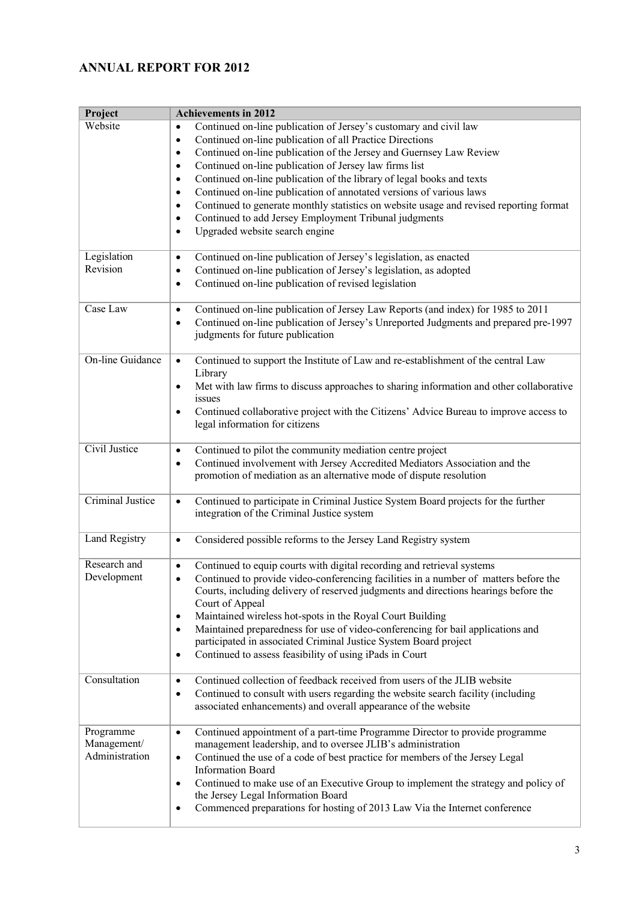# **ANNUAL REPORT FOR 2012**

| Project                                    | <b>Achievements in 2012</b>                                                                                                                                                                                                                                                                                                                                                                                                                                                                                                                                                                                                                                                                                              |
|--------------------------------------------|--------------------------------------------------------------------------------------------------------------------------------------------------------------------------------------------------------------------------------------------------------------------------------------------------------------------------------------------------------------------------------------------------------------------------------------------------------------------------------------------------------------------------------------------------------------------------------------------------------------------------------------------------------------------------------------------------------------------------|
| Website                                    | Continued on-line publication of Jersey's customary and civil law<br>$\bullet$<br>Continued on-line publication of all Practice Directions<br>$\bullet$<br>Continued on-line publication of the Jersey and Guernsey Law Review<br>$\bullet$<br>Continued on-line publication of Jersey law firms list<br>$\bullet$<br>Continued on-line publication of the library of legal books and texts<br>$\bullet$<br>Continued on-line publication of annotated versions of various laws<br>$\bullet$<br>Continued to generate monthly statistics on website usage and revised reporting format<br>$\bullet$<br>Continued to add Jersey Employment Tribunal judgments<br>$\bullet$<br>Upgraded website search engine<br>$\bullet$ |
| Legislation<br>Revision                    | Continued on-line publication of Jersey's legislation, as enacted<br>$\bullet$<br>Continued on-line publication of Jersey's legislation, as adopted<br>$\bullet$<br>Continued on-line publication of revised legislation<br>$\bullet$                                                                                                                                                                                                                                                                                                                                                                                                                                                                                    |
| Case Law                                   | Continued on-line publication of Jersey Law Reports (and index) for 1985 to 2011<br>$\bullet$<br>Continued on-line publication of Jersey's Unreported Judgments and prepared pre-1997<br>$\bullet$<br>judgments for future publication                                                                                                                                                                                                                                                                                                                                                                                                                                                                                   |
| <b>On-line Guidance</b>                    | Continued to support the Institute of Law and re-establishment of the central Law<br>$\bullet$<br>Library<br>Met with law firms to discuss approaches to sharing information and other collaborative<br>$\bullet$<br>issues<br>Continued collaborative project with the Citizens' Advice Bureau to improve access to<br>$\bullet$<br>legal information for citizens                                                                                                                                                                                                                                                                                                                                                      |
| Civil Justice                              | Continued to pilot the community mediation centre project<br>$\bullet$<br>Continued involvement with Jersey Accredited Mediators Association and the<br>$\bullet$<br>promotion of mediation as an alternative mode of dispute resolution                                                                                                                                                                                                                                                                                                                                                                                                                                                                                 |
| <b>Criminal Justice</b>                    | Continued to participate in Criminal Justice System Board projects for the further<br>$\bullet$<br>integration of the Criminal Justice system                                                                                                                                                                                                                                                                                                                                                                                                                                                                                                                                                                            |
| Land Registry                              | Considered possible reforms to the Jersey Land Registry system<br>$\bullet$                                                                                                                                                                                                                                                                                                                                                                                                                                                                                                                                                                                                                                              |
| Research and<br>Development                | Continued to equip courts with digital recording and retrieval systems<br>$\bullet$<br>Continued to provide video-conferencing facilities in a number of matters before the<br>$\bullet$<br>Courts, including delivery of reserved judgments and directions hearings before the<br>Court of Appeal<br>Maintained wireless hot-spots in the Royal Court Building<br>$\bullet$<br>Maintained preparedness for use of video-conferencing for bail applications and<br>$\bullet$<br>participated in associated Criminal Justice System Board project<br>Continued to assess feasibility of using iPads in Court<br>$\bullet$                                                                                                 |
| Consultation                               | Continued collection of feedback received from users of the JLIB website<br>$\bullet$<br>Continued to consult with users regarding the website search facility (including<br>$\bullet$<br>associated enhancements) and overall appearance of the website                                                                                                                                                                                                                                                                                                                                                                                                                                                                 |
| Programme<br>Management/<br>Administration | Continued appointment of a part-time Programme Director to provide programme<br>$\bullet$<br>management leadership, and to oversee JLIB's administration<br>Continued the use of a code of best practice for members of the Jersey Legal<br>$\bullet$<br><b>Information Board</b><br>Continued to make use of an Executive Group to implement the strategy and policy of<br>$\bullet$<br>the Jersey Legal Information Board<br>Commenced preparations for hosting of 2013 Law Via the Internet conference<br>$\bullet$                                                                                                                                                                                                   |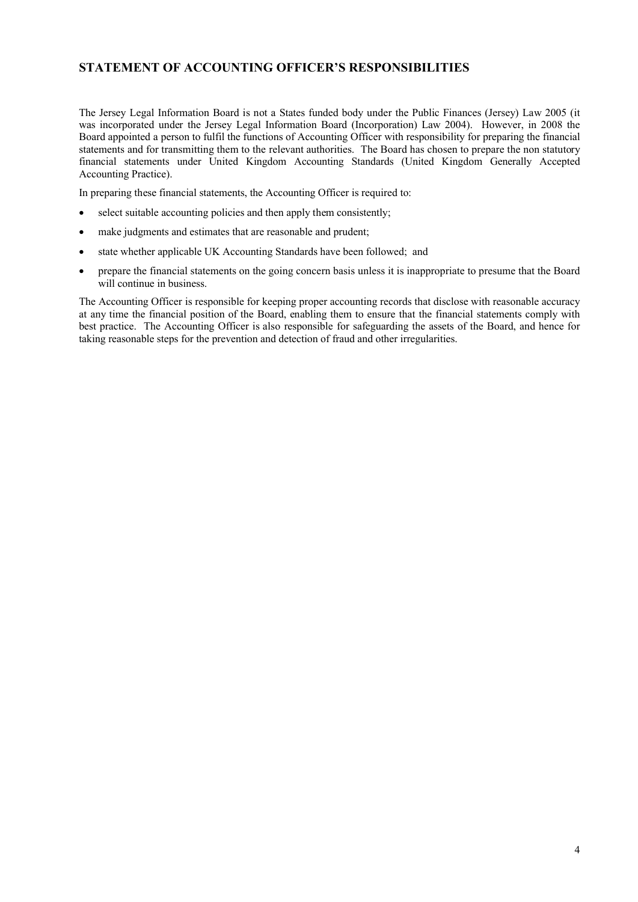## **STATEMENT OF ACCOUNTING OFFICER'S RESPONSIBILITIES**

The Jersey Legal Information Board is not a States funded body under the Public Finances (Jersey) Law 2005 (it was incorporated under the Jersey Legal Information Board (Incorporation) Law 2004). However, in 2008 the Board appointed a person to fulfil the functions of Accounting Officer with responsibility for preparing the financial statements and for transmitting them to the relevant authorities. The Board has chosen to prepare the non statutory financial statements under United Kingdom Accounting Standards (United Kingdom Generally Accepted Accounting Practice).

In preparing these financial statements, the Accounting Officer is required to:

- select suitable accounting policies and then apply them consistently;
- make judgments and estimates that are reasonable and prudent;
- state whether applicable UK Accounting Standards have been followed; and
- prepare the financial statements on the going concern basis unless it is inappropriate to presume that the Board will continue in business.

The Accounting Officer is responsible for keeping proper accounting records that disclose with reasonable accuracy at any time the financial position of the Board, enabling them to ensure that the financial statements comply with best practice. The Accounting Officer is also responsible for safeguarding the assets of the Board, and hence for taking reasonable steps for the prevention and detection of fraud and other irregularities.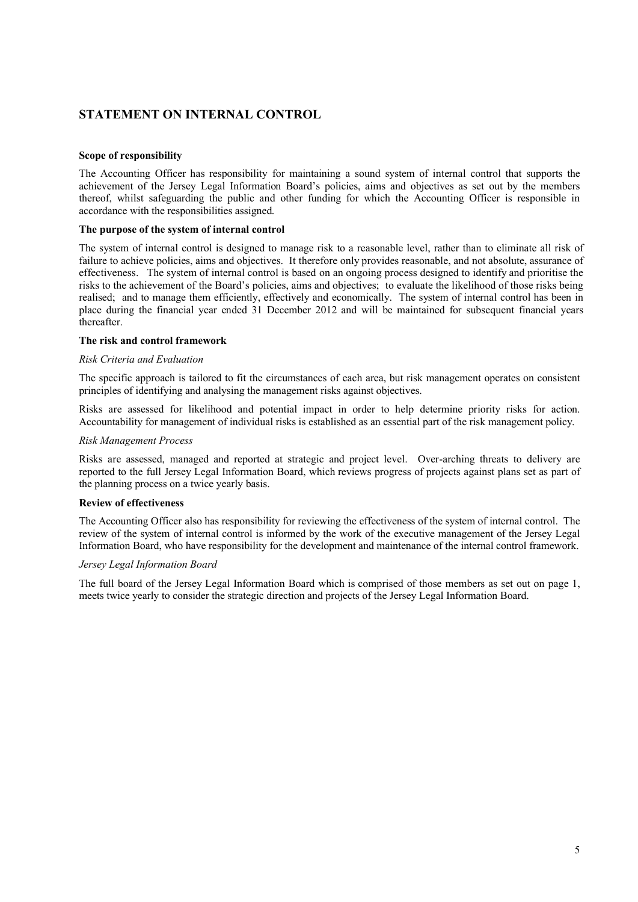## **STATEMENT ON INTERNAL CONTROL**

#### **Scope of responsibility**

The Accounting Officer has responsibility for maintaining a sound system of internal control that supports the achievement of the Jersey Legal Information Board's policies, aims and objectives as set out by the members thereof, whilst safeguarding the public and other funding for which the Accounting Officer is responsible in accordance with the responsibilities assigned.

#### **The purpose of the system of internal control**

The system of internal control is designed to manage risk to a reasonable level, rather than to eliminate all risk of failure to achieve policies, aims and objectives. It therefore only provides reasonable, and not absolute, assurance of effectiveness. The system of internal control is based on an ongoing process designed to identify and prioritise the risks to the achievement of the Board's policies, aims and objectives; to evaluate the likelihood of those risks being realised; and to manage them efficiently, effectively and economically. The system of internal control has been in place during the financial year ended 31 December 2012 and will be maintained for subsequent financial years thereafter.

#### **The risk and control framework**

#### *Risk Criteria and Evaluation*

The specific approach is tailored to fit the circumstances of each area, but risk management operates on consistent principles of identifying and analysing the management risks against objectives.

Risks are assessed for likelihood and potential impact in order to help determine priority risks for action. Accountability for management of individual risks is established as an essential part of the risk management policy.

#### *Risk Management Process*

Risks are assessed, managed and reported at strategic and project level. Over-arching threats to delivery are reported to the full Jersey Legal Information Board, which reviews progress of projects against plans set as part of the planning process on a twice yearly basis.

#### **Review of effectiveness**

The Accounting Officer also has responsibility for reviewing the effectiveness of the system of internal control. The review of the system of internal control is informed by the work of the executive management of the Jersey Legal Information Board, who have responsibility for the development and maintenance of the internal control framework.

#### *Jersey Legal Information Board*

The full board of the Jersey Legal Information Board which is comprised of those members as set out on page 1, meets twice yearly to consider the strategic direction and projects of the Jersey Legal Information Board.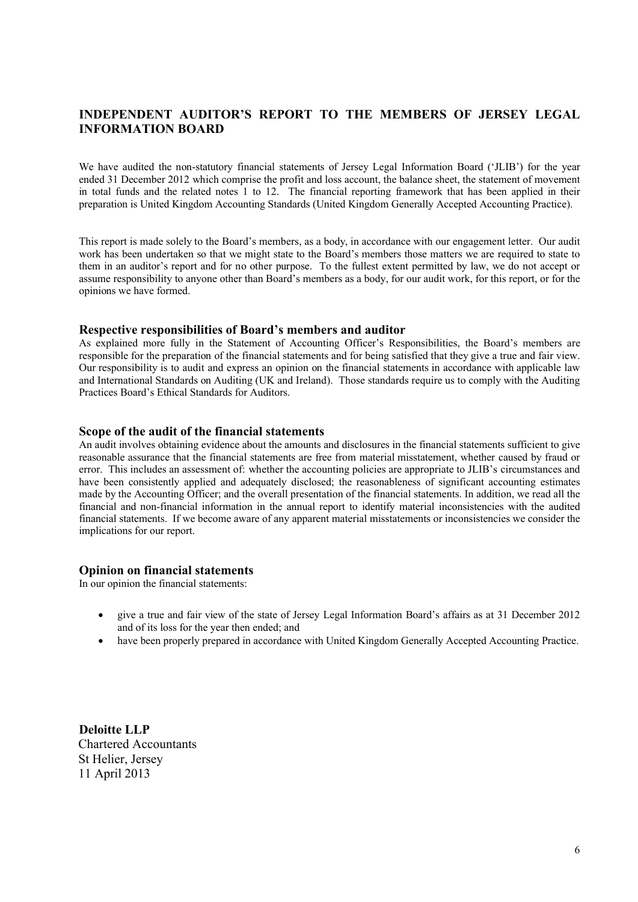## **INDEPENDENT AUDITOR'S REPORT TO THE MEMBERS OF JERSEY LEGAL INFORMATION BOARD**

We have audited the non-statutory financial statements of Jersey Legal Information Board ('JLIB') for the year ended 31 December 2012 which comprise the profit and loss account, the balance sheet, the statement of movement in total funds and the related notes 1 to 12. The financial reporting framework that has been applied in their preparation is United Kingdom Accounting Standards (United Kingdom Generally Accepted Accounting Practice).

This report is made solely to the Board's members, as a body, in accordance with our engagement letter. Our audit work has been undertaken so that we might state to the Board's members those matters we are required to state to them in an auditor's report and for no other purpose. To the fullest extent permitted by law, we do not accept or assume responsibility to anyone other than Board's members as a body, for our audit work, for this report, or for the opinions we have formed.

### **Respective responsibilities of Board's members and auditor**

As explained more fully in the Statement of Accounting Officer's Responsibilities, the Board's members are responsible for the preparation of the financial statements and for being satisfied that they give a true and fair view. Our responsibility is to audit and express an opinion on the financial statements in accordance with applicable law and International Standards on Auditing (UK and Ireland). Those standards require us to comply with the Auditing Practices Board's Ethical Standards for Auditors.

### **Scope of the audit of the financial statements**

An audit involves obtaining evidence about the amounts and disclosures in the financial statements sufficient to give reasonable assurance that the financial statements are free from material misstatement, whether caused by fraud or error. This includes an assessment of: whether the accounting policies are appropriate to JLIB's circumstances and have been consistently applied and adequately disclosed; the reasonableness of significant accounting estimates made by the Accounting Officer; and the overall presentation of the financial statements. In addition, we read all the financial and non-financial information in the annual report to identify material inconsistencies with the audited financial statements. If we become aware of any apparent material misstatements or inconsistencies we consider the implications for our report.

#### **Opinion on financial statements**

In our opinion the financial statements:

- give a true and fair view of the state of Jersey Legal Information Board's affairs as at 31 December 2012 and of its loss for the year then ended; and
- have been properly prepared in accordance with United Kingdom Generally Accepted Accounting Practice.

**Deloitte LLP** Chartered Accountants St Helier, Jersey 11 April 2013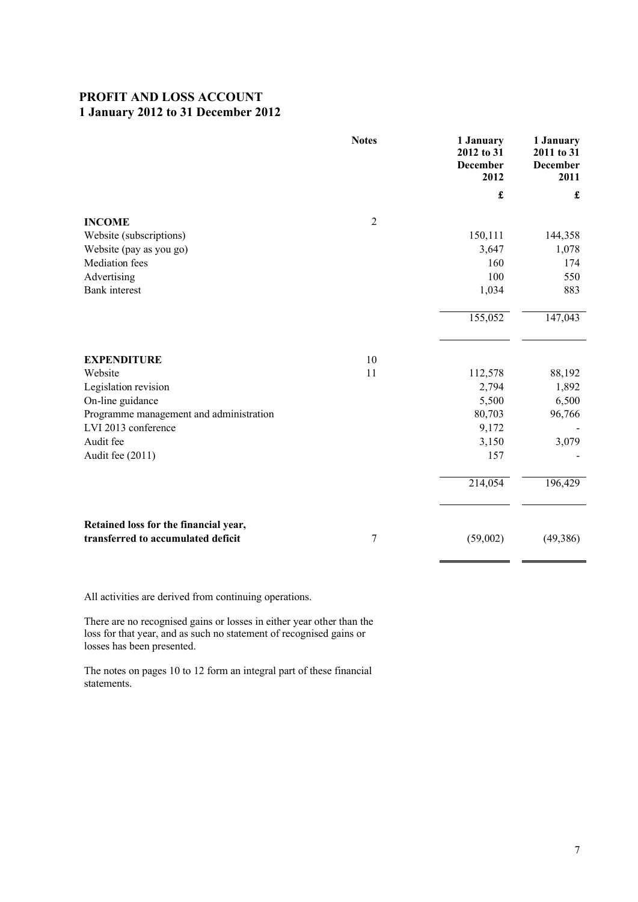## **PROFIT AND LOSS ACCOUNT 1 January 2012 to 31 December 2012**

|                                                                             | <b>Notes</b>   | 1 January<br>2012 to 31<br><b>December</b><br>2012 | 1 January<br>2011 to 31<br>December<br>2011 |
|-----------------------------------------------------------------------------|----------------|----------------------------------------------------|---------------------------------------------|
|                                                                             |                | £                                                  | £                                           |
| <b>INCOME</b>                                                               | $\overline{2}$ |                                                    |                                             |
| Website (subscriptions)                                                     |                | 150,111                                            | 144,358                                     |
| Website (pay as you go)                                                     |                | 3,647                                              | 1,078                                       |
| <b>Mediation</b> fees                                                       |                | 160                                                | 174                                         |
| Advertising                                                                 |                | 100                                                | 550                                         |
| <b>Bank</b> interest                                                        |                | 1,034                                              | 883                                         |
|                                                                             |                | 155,052                                            | 147,043                                     |
| <b>EXPENDITURE</b>                                                          | 10             |                                                    |                                             |
| Website                                                                     | 11             | 112,578                                            | 88,192                                      |
| Legislation revision                                                        |                | 2,794                                              | 1,892                                       |
| On-line guidance                                                            |                | 5,500                                              | 6,500                                       |
| Programme management and administration                                     |                | 80,703                                             | 96,766                                      |
| LVI 2013 conference                                                         |                | 9,172                                              |                                             |
| Audit fee                                                                   |                | 3,150                                              | 3,079                                       |
| Audit fee (2011)                                                            |                | 157                                                |                                             |
|                                                                             |                | 214,054                                            | 196,429                                     |
| Retained loss for the financial year,<br>transferred to accumulated deficit | 7              | (59,002)                                           | (49, 386)                                   |

All activities are derived from continuing operations.

There are no recognised gains or losses in either year other than the loss for that year, and as such no statement of recognised gains or losses has been presented.

The notes on pages 10 to 12 form an integral part of these financial statements.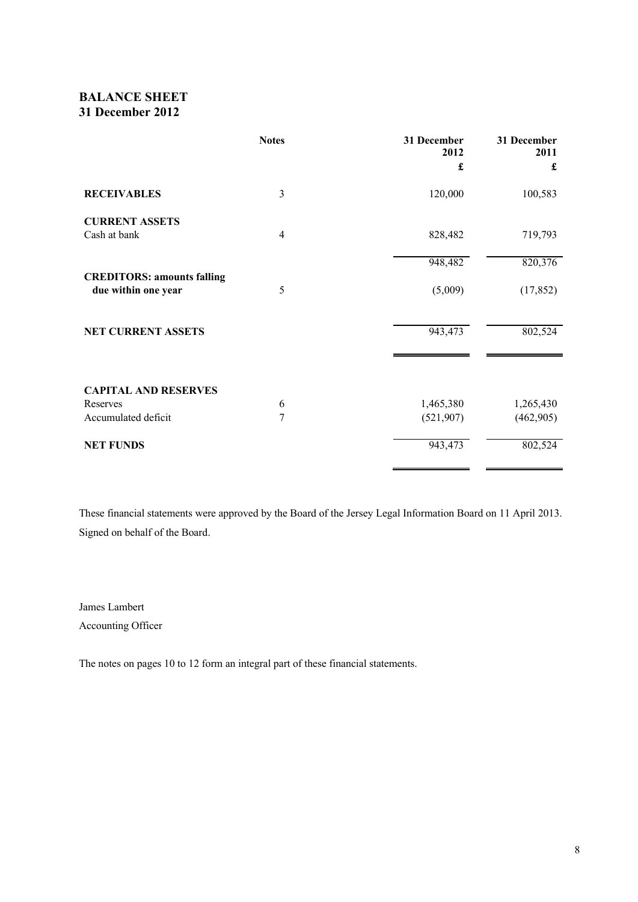## **BALANCE SHEET 31 December 2012**

|                                   | <b>Notes</b> | 31 December<br>2012 | 31 December<br>2011 |
|-----------------------------------|--------------|---------------------|---------------------|
|                                   |              | £                   | £                   |
| <b>RECEIVABLES</b>                | 3            | 120,000             | 100,583             |
| <b>CURRENT ASSETS</b>             |              |                     |                     |
| Cash at bank                      | 4            | 828,482             | 719,793             |
|                                   |              | 948,482             | 820,376             |
| <b>CREDITORS: amounts falling</b> |              |                     |                     |
| due within one year               | 5            | (5,009)             | (17, 852)           |
|                                   |              |                     |                     |
| <b>NET CURRENT ASSETS</b>         |              | 943,473             | 802,524             |
|                                   |              |                     |                     |
| <b>CAPITAL AND RESERVES</b>       |              |                     |                     |
| Reserves                          | 6            | 1,465,380           | 1,265,430           |
| Accumulated deficit               | 7            | (521, 907)          | (462,905)           |
| <b>NET FUNDS</b>                  |              | 943,473             | 802,524             |
|                                   |              |                     |                     |

These financial statements were approved by the Board of the Jersey Legal Information Board on 11 April 2013. Signed on behalf of the Board.

James Lambert Accounting Officer

The notes on pages 10 to 12 form an integral part of these financial statements.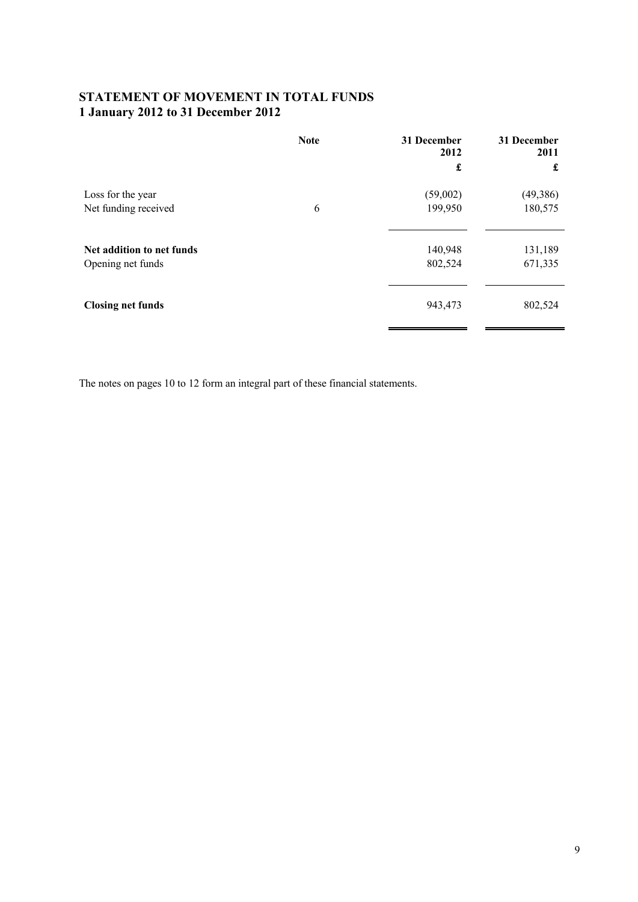## **STATEMENT OF MOVEMENT IN TOTAL FUNDS 1 January 2012 to 31 December 2012**

|                           | <b>Note</b> | 31 December<br>2012<br>£ | 31 December<br>2011<br>£ |
|---------------------------|-------------|--------------------------|--------------------------|
| Loss for the year         | 6           | (59,002)                 | (49, 386)                |
| Net funding received      |             | 199,950                  | 180,575                  |
| Net addition to net funds |             | 140,948                  | 131,189                  |
| Opening net funds         |             | 802,524                  | 671,335                  |
| <b>Closing net funds</b>  |             | 943,473                  | 802,524                  |

The notes on pages 10 to 12 form an integral part of these financial statements.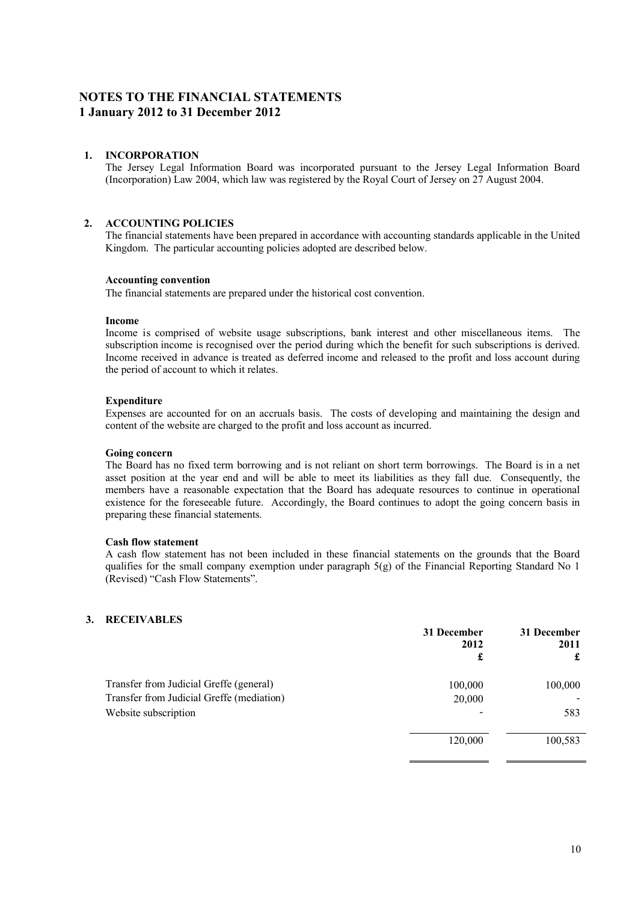## **NOTES TO THE FINANCIAL STATEMENTS 1 January 2012 to 31 December 2012**

### **1. INCORPORATION**

The Jersey Legal Information Board was incorporated pursuant to the Jersey Legal Information Board (Incorporation) Law 2004, which law was registered by the Royal Court of Jersey on 27 August 2004.

## **2. ACCOUNTING POLICIES**

The financial statements have been prepared in accordance with accounting standards applicable in the United Kingdom. The particular accounting policies adopted are described below.

#### **Accounting convention**

The financial statements are prepared under the historical cost convention.

#### **Income**

Income is comprised of website usage subscriptions, bank interest and other miscellaneous items. The subscription income is recognised over the period during which the benefit for such subscriptions is derived. Income received in advance is treated as deferred income and released to the profit and loss account during the period of account to which it relates.

#### **Expenditure**

Expenses are accounted for on an accruals basis. The costs of developing and maintaining the design and content of the website are charged to the profit and loss account as incurred.

#### **Going concern**

The Board has no fixed term borrowing and is not reliant on short term borrowings. The Board is in a net asset position at the year end and will be able to meet its liabilities as they fall due. Consequently, the members have a reasonable expectation that the Board has adequate resources to continue in operational existence for the foreseeable future. Accordingly, the Board continues to adopt the going concern basis in preparing these financial statements.

#### **Cash flow statement**

A cash flow statement has not been included in these financial statements on the grounds that the Board qualifies for the small company exemption under paragraph 5(g) of the Financial Reporting Standard No 1 (Revised) "Cash Flow Statements".

#### **3. RECEIVABLES**

|                                                                                      | 31 December<br>2012<br>£ | 31 December<br>2011<br>£ |
|--------------------------------------------------------------------------------------|--------------------------|--------------------------|
| Transfer from Judicial Greffe (general)<br>Transfer from Judicial Greffe (mediation) | 100,000<br>20,000        | 100,000                  |
| Website subscription                                                                 |                          | 583                      |
|                                                                                      | 120,000                  | 100,583                  |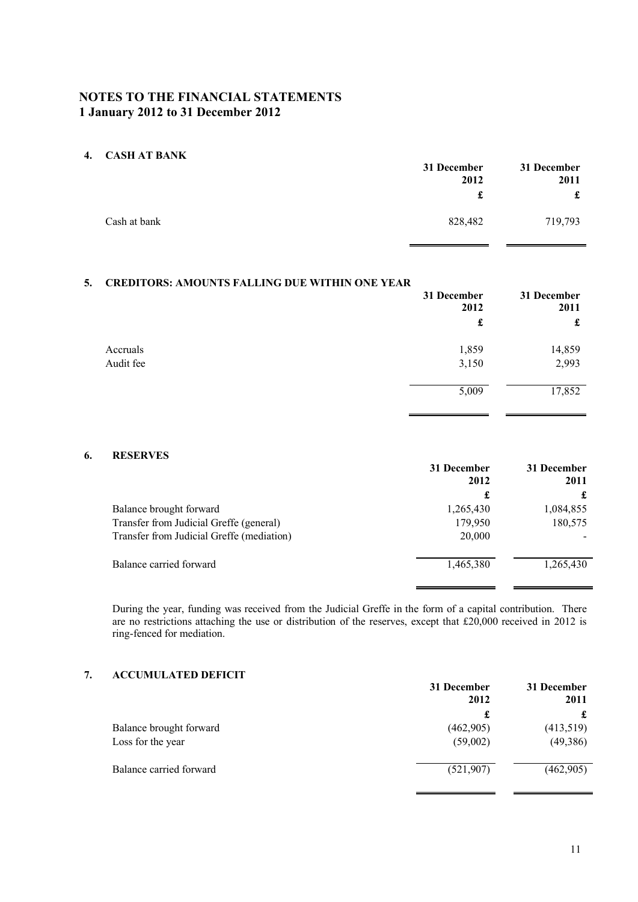## **NOTES TO THE FINANCIAL STATEMENTS 1 January 2012 to 31 December 2012**

#### **4. CASH AT BANK**

|              | 31 December<br>2012 |         | 31 December<br>2011 |
|--------------|---------------------|---------|---------------------|
|              | £                   | £       |                     |
| Cash at bank | 828,482             | 719,793 |                     |

### **5. CREDITORS: AMOUNTS FALLING DUE WITHIN ONE YEAR**

|           | 31 December<br>2012 | 31 December<br>2011 |
|-----------|---------------------|---------------------|
|           | £                   | £                   |
| Accruals  | 1,859               | 14,859              |
| Audit fee | 3,150               | 2,993               |
|           | 5,009               | 17,852              |
|           |                     |                     |

## **6. RESERVES**

|                                           | 31 December<br>2012 | 31 December<br>2011 |
|-------------------------------------------|---------------------|---------------------|
|                                           | £                   |                     |
| Balance brought forward                   | 1,265,430           | 1,084,855           |
| Transfer from Judicial Greffe (general)   | 179,950             | 180,575             |
| Transfer from Judicial Greffe (mediation) | 20,000              |                     |
| Balance carried forward                   | 1,465,380           | 1,265,430           |

During the year, funding was received from the Judicial Greffe in the form of a capital contribution. There are no restrictions attaching the use or distribution of the reserves, except that £20,000 received in 2012 is ring-fenced for mediation.

## **7. ACCUMULATED DEFICIT**

|                         | 31 December<br>2012 | 31 December<br>2011 |
|-------------------------|---------------------|---------------------|
|                         | £                   |                     |
| Balance brought forward | (462,905)           | (413,519)           |
| Loss for the year       | (59,002)            | (49,386)            |
| Balance carried forward | (521,907)           | (462,905)           |